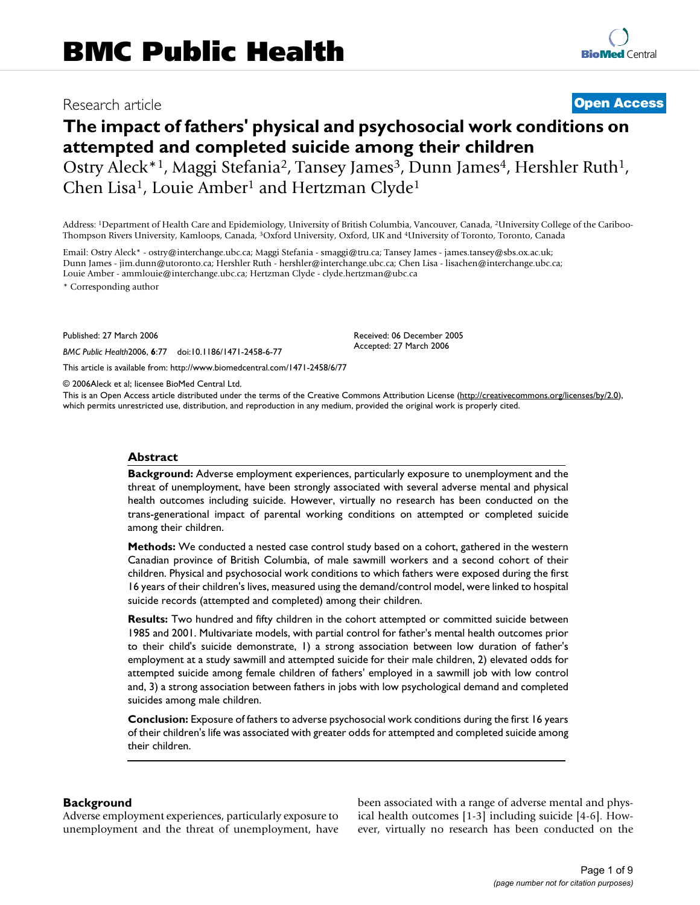## Research article **[Open Access](http://www.biomedcentral.com/info/about/charter/)**

# **The impact of fathers' physical and psychosocial work conditions on attempted and completed suicide among their children** Ostry Aleck<sup>\*1</sup>, Maggi Stefania<sup>2</sup>, Tansey James<sup>3</sup>, Dunn James<sup>4</sup>, Hershler Ruth<sup>1</sup>, Chen Lisa<sup>1</sup>, Louie Amber<sup>1</sup> and Hertzman Clyde<sup>1</sup>

Address: 1Department of Health Care and Epidemiology, University of British Columbia, Vancouver, Canada, 2University College of the Cariboo-Thompson Rivers University, Kamloops, Canada, 3Oxford University, Oxford, UK and 4University of Toronto, Toronto, Canada

Email: Ostry Aleck\* - ostry@interchange.ubc.ca; Maggi Stefania - smaggi@tru.ca; Tansey James - james.tansey@sbs.ox.ac.uk; Dunn James - jim.dunn@utoronto.ca; Hershler Ruth - hershler@interchange.ubc.ca; Chen Lisa - lisachen@interchange.ubc.ca; Louie Amber - ammlouie@interchange.ubc.ca; Hertzman Clyde - clyde.hertzman@ubc.ca

\* Corresponding author

Published: 27 March 2006

*BMC Public Health*2006, **6**:77 doi:10.1186/1471-2458-6-77

[This article is available from: http://www.biomedcentral.com/1471-2458/6/77](http://www.biomedcentral.com/1471-2458/6/77)

© 2006Aleck et al; licensee BioMed Central Ltd.

This is an Open Access article distributed under the terms of the Creative Commons Attribution License [\(http://creativecommons.org/licenses/by/2.0\)](http://creativecommons.org/licenses/by/2.0), which permits unrestricted use, distribution, and reproduction in any medium, provided the original work is properly cited.

Received: 06 December 2005 Accepted: 27 March 2006

#### **Abstract**

**Background:** Adverse employment experiences, particularly exposure to unemployment and the threat of unemployment, have been strongly associated with several adverse mental and physical health outcomes including suicide. However, virtually no research has been conducted on the trans-generational impact of parental working conditions on attempted or completed suicide among their children.

**Methods:** We conducted a nested case control study based on a cohort, gathered in the western Canadian province of British Columbia, of male sawmill workers and a second cohort of their children. Physical and psychosocial work conditions to which fathers were exposed during the first 16 years of their children's lives, measured using the demand/control model, were linked to hospital suicide records (attempted and completed) among their children.

**Results:** Two hundred and fifty children in the cohort attempted or committed suicide between 1985 and 2001. Multivariate models, with partial control for father's mental health outcomes prior to their child's suicide demonstrate, 1) a strong association between low duration of father's employment at a study sawmill and attempted suicide for their male children, 2) elevated odds for attempted suicide among female children of fathers' employed in a sawmill job with low control and, 3) a strong association between fathers in jobs with low psychological demand and completed suicides among male children.

**Conclusion:** Exposure of fathers to adverse psychosocial work conditions during the first 16 years of their children's life was associated with greater odds for attempted and completed suicide among their children.

#### **Background**

Adverse employment experiences, particularly exposure to unemployment and the threat of unemployment, have been associated with a range of adverse mental and physical health outcomes [1-3] including suicide [4-6]. However, virtually no research has been conducted on the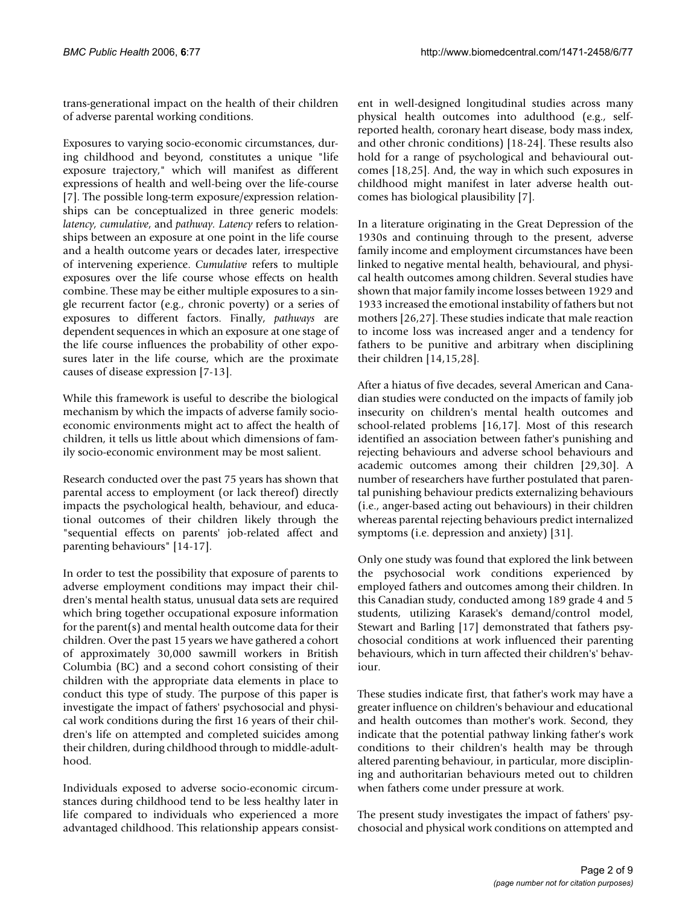trans-generational impact on the health of their children of adverse parental working conditions.

Exposures to varying socio-economic circumstances, during childhood and beyond, constitutes a unique "life exposure trajectory," which will manifest as different expressions of health and well-being over the life-course [7]. The possible long-term exposure/expression relationships can be conceptualized in three generic models: *latency, cumulative*, and *pathway. Latency* refers to relationships between an exposure at one point in the life course and a health outcome years or decades later, irrespective of intervening experience. *Cumulative* refers to multiple exposures over the life course whose effects on health combine. These may be either multiple exposures to a single recurrent factor (e.g., chronic poverty) or a series of exposures to different factors. Finally, *pathways* are dependent sequences in which an exposure at one stage of the life course influences the probability of other exposures later in the life course, which are the proximate causes of disease expression [7-13].

While this framework is useful to describe the biological mechanism by which the impacts of adverse family socioeconomic environments might act to affect the health of children, it tells us little about which dimensions of family socio-economic environment may be most salient.

Research conducted over the past 75 years has shown that parental access to employment (or lack thereof) directly impacts the psychological health, behaviour, and educational outcomes of their children likely through the "sequential effects on parents' job-related affect and parenting behaviours" [14-17].

In order to test the possibility that exposure of parents to adverse employment conditions may impact their children's mental health status, unusual data sets are required which bring together occupational exposure information for the parent(s) and mental health outcome data for their children. Over the past 15 years we have gathered a cohort of approximately 30,000 sawmill workers in British Columbia (BC) and a second cohort consisting of their children with the appropriate data elements in place to conduct this type of study. The purpose of this paper is investigate the impact of fathers' psychosocial and physical work conditions during the first 16 years of their children's life on attempted and completed suicides among their children, during childhood through to middle-adulthood.

Individuals exposed to adverse socio-economic circumstances during childhood tend to be less healthy later in life compared to individuals who experienced a more advantaged childhood. This relationship appears consistent in well-designed longitudinal studies across many physical health outcomes into adulthood (e.g., selfreported health, coronary heart disease, body mass index, and other chronic conditions) [18-24]. These results also hold for a range of psychological and behavioural outcomes [18,25]. And, the way in which such exposures in childhood might manifest in later adverse health outcomes has biological plausibility [7].

In a literature originating in the Great Depression of the 1930s and continuing through to the present, adverse family income and employment circumstances have been linked to negative mental health, behavioural, and physical health outcomes among children. Several studies have shown that major family income losses between 1929 and 1933 increased the emotional instability of fathers but not mothers [26,27]. These studies indicate that male reaction to income loss was increased anger and a tendency for fathers to be punitive and arbitrary when disciplining their children [14,15,28].

After a hiatus of five decades, several American and Canadian studies were conducted on the impacts of family job insecurity on children's mental health outcomes and school-related problems [16,17]. Most of this research identified an association between father's punishing and rejecting behaviours and adverse school behaviours and academic outcomes among their children [29,30]. A number of researchers have further postulated that parental punishing behaviour predicts externalizing behaviours (i.e., anger-based acting out behaviours) in their children whereas parental rejecting behaviours predict internalized symptoms (i.e. depression and anxiety) [31].

Only one study was found that explored the link between the psychosocial work conditions experienced by employed fathers and outcomes among their children. In this Canadian study, conducted among 189 grade 4 and 5 students, utilizing Karasek's demand/control model, Stewart and Barling [17] demonstrated that fathers psychosocial conditions at work influenced their parenting behaviours, which in turn affected their children's' behaviour.

These studies indicate first, that father's work may have a greater influence on children's behaviour and educational and health outcomes than mother's work. Second, they indicate that the potential pathway linking father's work conditions to their children's health may be through altered parenting behaviour, in particular, more disciplining and authoritarian behaviours meted out to children when fathers come under pressure at work.

The present study investigates the impact of fathers' psychosocial and physical work conditions on attempted and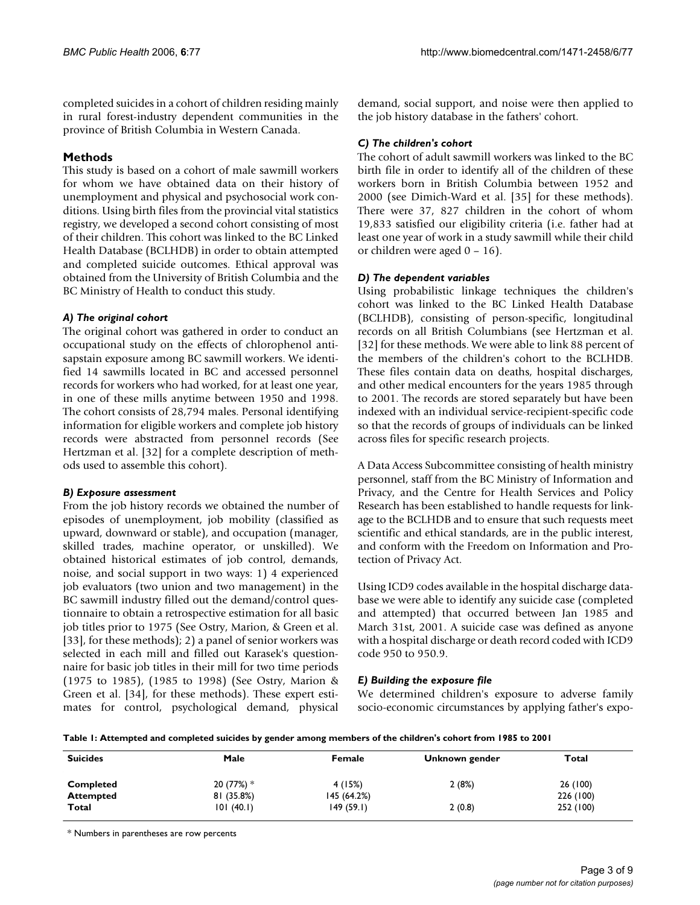completed suicides in a cohort of children residing mainly in rural forest-industry dependent communities in the province of British Columbia in Western Canada.

## **Methods**

This study is based on a cohort of male sawmill workers for whom we have obtained data on their history of unemployment and physical and psychosocial work conditions. Using birth files from the provincial vital statistics registry, we developed a second cohort consisting of most of their children. This cohort was linked to the BC Linked Health Database (BCLHDB) in order to obtain attempted and completed suicide outcomes. Ethical approval was obtained from the University of British Columbia and the BC Ministry of Health to conduct this study.

## *A) The original cohort*

The original cohort was gathered in order to conduct an occupational study on the effects of chlorophenol antisapstain exposure among BC sawmill workers. We identified 14 sawmills located in BC and accessed personnel records for workers who had worked, for at least one year, in one of these mills anytime between 1950 and 1998. The cohort consists of 28,794 males. Personal identifying information for eligible workers and complete job history records were abstracted from personnel records (See Hertzman et al. [32] for a complete description of methods used to assemble this cohort).

## *B) Exposure assessment*

From the job history records we obtained the number of episodes of unemployment, job mobility (classified as upward, downward or stable), and occupation (manager, skilled trades, machine operator, or unskilled). We obtained historical estimates of job control, demands, noise, and social support in two ways: 1) 4 experienced job evaluators (two union and two management) in the BC sawmill industry filled out the demand/control questionnaire to obtain a retrospective estimation for all basic job titles prior to 1975 (See Ostry, Marion, & Green et al. [33], for these methods); 2) a panel of senior workers was selected in each mill and filled out Karasek's questionnaire for basic job titles in their mill for two time periods (1975 to 1985), (1985 to 1998) (See Ostry, Marion & Green et al. [34], for these methods). These expert estimates for control, psychological demand, physical

demand, social support, and noise were then applied to the job history database in the fathers' cohort.

## *C) The children's cohort*

The cohort of adult sawmill workers was linked to the BC birth file in order to identify all of the children of these workers born in British Columbia between 1952 and 2000 (see Dimich-Ward et al. [35] for these methods). There were 37, 827 children in the cohort of whom 19,833 satisfied our eligibility criteria (i.e. father had at least one year of work in a study sawmill while their child or children were aged 0 – 16).

## *D) The dependent variables*

Using probabilistic linkage techniques the children's cohort was linked to the BC Linked Health Database (BCLHDB), consisting of person-specific, longitudinal records on all British Columbians (see Hertzman et al. [32] for these methods. We were able to link 88 percent of the members of the children's cohort to the BCLHDB. These files contain data on deaths, hospital discharges, and other medical encounters for the years 1985 through to 2001. The records are stored separately but have been indexed with an individual service-recipient-specific code so that the records of groups of individuals can be linked across files for specific research projects.

A Data Access Subcommittee consisting of health ministry personnel, staff from the BC Ministry of Information and Privacy, and the Centre for Health Services and Policy Research has been established to handle requests for linkage to the BCLHDB and to ensure that such requests meet scientific and ethical standards, are in the public interest, and conform with the Freedom on Information and Protection of Privacy Act.

Using ICD9 codes available in the hospital discharge database we were able to identify any suicide case (completed and attempted) that occurred between Jan 1985 and March 31st, 2001. A suicide case was defined as anyone with a hospital discharge or death record coded with ICD9 code 950 to 950.9.

## *E) Building the exposure file*

We determined children's exposure to adverse family socio-economic circumstances by applying father's expo-

**Table 1: Attempted and completed suicides by gender among members of the children's cohort from 1985 to 2001**

| <b>Suicides</b>  | Male        | Female      | Unknown gender | Total     |
|------------------|-------------|-------------|----------------|-----------|
| <b>Completed</b> | $20(77%)$ * | 4 (15%)     | 2(8%)          | 26 (100)  |
| <b>Attempted</b> | 81 (35.8%)  | 145 (64.2%) |                | 226 (100) |
| Total            | 101(40.1)   | 149(59.1)   | 2(0.8)         | 252 (100) |

\* Numbers in parentheses are row percents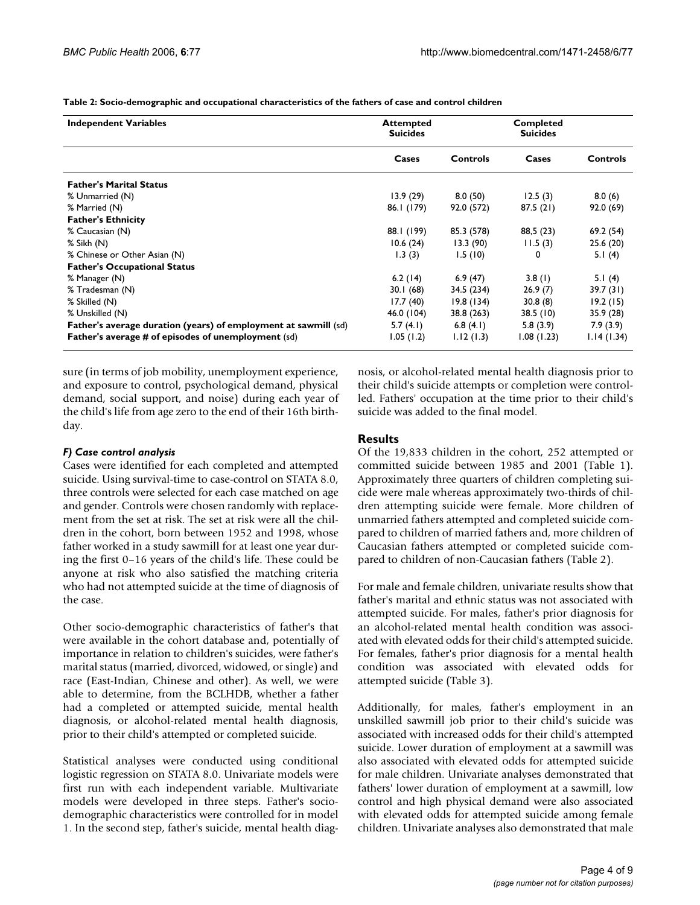**Table 2: Socio-demographic and occupational characteristics of the fathers of case and control children**

| <b>Independent Variables</b>                                           | <b>Attempted</b><br><b>Suicides</b> |             | <b>Completed</b><br><b>Suicides</b> |                 |
|------------------------------------------------------------------------|-------------------------------------|-------------|-------------------------------------|-----------------|
|                                                                        | Cases                               | Controls    | Cases                               | <b>Controls</b> |
| <b>Father's Marital Status</b>                                         |                                     |             |                                     |                 |
| % Unmarried (N)                                                        | 13.9(29)                            | 8.0(50)     | 12.5(3)                             | 8.0(6)          |
| % Married (N)                                                          | 86.1 (179)                          | 92.0 (572)  | 87.5(21)                            | 92.0 (69)       |
| <b>Father's Ethnicity</b>                                              |                                     |             |                                     |                 |
| % Caucasian (N)                                                        | 88.1 (199)                          | 85.3 (578)  | 88,5 (23)                           | 69.2 (54)       |
| % Sikh (N)                                                             | 10.6(24)                            | 13.3(90)    | 11.5(3)                             | 25.6(20)        |
| % Chinese or Other Asian (N)                                           | 1.3(3)                              | 1.5(10)     | 0                                   | 5.1(4)          |
| <b>Father's Occupational Status</b>                                    |                                     |             |                                     |                 |
| % Manager (N)                                                          | 6.2(14)                             | 6.9(47)     | 3.8(1)                              | 5.1 $(4)$       |
| % Tradesman (N)                                                        | 30.1(68)                            | 34.5 (234)  | 26.9(7)                             | 39.7(31)        |
| % Skilled (N)                                                          | 17.7(40)                            | 19.8(134)   | 30.8(8)                             | 19.2(15)        |
| % Unskilled (N)                                                        | 46.0 (104)                          | 38.8 (263)  | 38.5 (10)                           | 35.9(28)        |
| <b>Father's average duration (years) of employment at sawmill (sd)</b> | 5.7(4.1)                            | 6.8 $(4.1)$ | 5.8(3.9)                            | 7.9(3.9)        |
| <b>Father's average # of episodes of unemployment (sd)</b>             | 1.05(1.2)                           | 1.12(1.3)   | 1.08(1.23)                          | 1.14(1.34)      |

sure (in terms of job mobility, unemployment experience, and exposure to control, psychological demand, physical demand, social support, and noise) during each year of the child's life from age zero to the end of their 16th birthday.

## *F) Case control analysis*

Cases were identified for each completed and attempted suicide. Using survival-time to case-control on STATA 8.0, three controls were selected for each case matched on age and gender. Controls were chosen randomly with replacement from the set at risk. The set at risk were all the children in the cohort, born between 1952 and 1998, whose father worked in a study sawmill for at least one year during the first 0–16 years of the child's life. These could be anyone at risk who also satisfied the matching criteria who had not attempted suicide at the time of diagnosis of the case.

Other socio-demographic characteristics of father's that were available in the cohort database and, potentially of importance in relation to children's suicides, were father's marital status (married, divorced, widowed, or single) and race (East-Indian, Chinese and other). As well, we were able to determine, from the BCLHDB, whether a father had a completed or attempted suicide, mental health diagnosis, or alcohol-related mental health diagnosis, prior to their child's attempted or completed suicide.

Statistical analyses were conducted using conditional logistic regression on STATA 8.0. Univariate models were first run with each independent variable. Multivariate models were developed in three steps. Father's sociodemographic characteristics were controlled for in model 1. In the second step, father's suicide, mental health diagnosis, or alcohol-related mental health diagnosis prior to their child's suicide attempts or completion were controlled. Fathers' occupation at the time prior to their child's suicide was added to the final model.

## **Results**

Of the 19,833 children in the cohort, 252 attempted or committed suicide between 1985 and 2001 (Table 1). Approximately three quarters of children completing suicide were male whereas approximately two-thirds of children attempting suicide were female. More children of unmarried fathers attempted and completed suicide compared to children of married fathers and, more children of Caucasian fathers attempted or completed suicide compared to children of non-Caucasian fathers (Table 2).

For male and female children, univariate results show that father's marital and ethnic status was not associated with attempted suicide. For males, father's prior diagnosis for an alcohol-related mental health condition was associated with elevated odds for their child's attempted suicide. For females, father's prior diagnosis for a mental health condition was associated with elevated odds for attempted suicide (Table 3).

Additionally, for males, father's employment in an unskilled sawmill job prior to their child's suicide was associated with increased odds for their child's attempted suicide. Lower duration of employment at a sawmill was also associated with elevated odds for attempted suicide for male children. Univariate analyses demonstrated that fathers' lower duration of employment at a sawmill, low control and high physical demand were also associated with elevated odds for attempted suicide among female children. Univariate analyses also demonstrated that male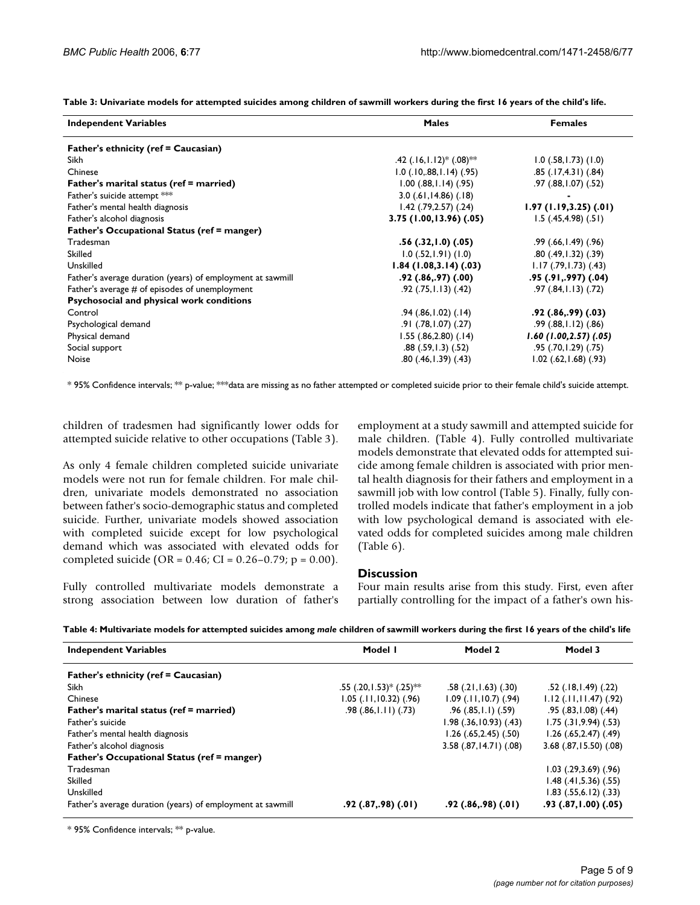| <b>Independent Variables</b>                               | <b>Males</b>                                      | <b>Females</b>              |  |
|------------------------------------------------------------|---------------------------------------------------|-----------------------------|--|
| Father's ethnicity (ref = Caucasian)                       |                                                   |                             |  |
| Sikh                                                       | $.42$ (.16,1.12) <sup>*</sup> (.08) <sup>**</sup> | $1.0$ (.58, 1.73) (1.0)     |  |
| Chinese                                                    | $1.0$ (.10, 88, 1.14) (.95)                       | $.85$ $(.17,4.31)$ $(.84)$  |  |
| Father's marital status (ref = married)                    | $1.00$ $(.88, 1.14)$ $(.95)$                      | .97(.88, 1.07)(.52)         |  |
| Father's suicide attempt ***                               | $3.0$ (.61,14.86) (.18)                           |                             |  |
| Father's mental health diagnosis                           | $1.42$ (.79, 2.57) (.24)                          | 1.97(1.19, 3.25)(.01)       |  |
| Father's alcohol diagnosis                                 | 3.75(1.00, 13.96)(.05)                            | $1.5$ (.45,4.98) (.51)      |  |
| Father's Occupational Status (ref = manger)                |                                                   |                             |  |
| Tradesman                                                  | $.56$ $(.32, 1.0)$ $(.05)$                        | $.99$ $(.66, 1.49)$ $(.96)$ |  |
| Skilled                                                    | $1.0$ (.52, 1.91) (1.0)                           | .80(.49,1.32)(.39)          |  |
| Unskilled                                                  | 1.84(1.08, 3.14)(.03)                             | $1.17$ (.79, 1.73) (.43)    |  |
| Father's average duration (years) of employment at sawmill | $.92$ $(.86, .97)$ $(.00)$                        | $.95$ $(.91, .997)$ $(.04)$ |  |
| Father's average # of episodes of unemployment             | $.92$ (.75, l.13) (.42)                           | .97(.84,1.13)(.72)          |  |
| Psychosocial and physical work conditions                  |                                                   |                             |  |
| Control                                                    | $.94$ $(.86, 1.02)$ $(.14)$                       | $.92$ $(.86, .99)$ $(.03)$  |  |
| Psychological demand                                       | $.91$ (.78, 1.07) (.27)                           | $.99(.88, 1.12)$ (.86)      |  |
| Physical demand                                            | $1.55$ (.86,2.80) (.14)                           | $1.60$ (1.00, 2.57) (.05)   |  |
| Social support                                             | .88(.59,1.3)(.52)                                 | .95(.70, 1.29) (.75)        |  |
| Noise                                                      | .80(.46, 1.39)(.43)                               | $1.02$ (.62, 1.68) (.93)    |  |

**Table 3: Univariate models for attempted suicides among children of sawmill workers during the first 16 years of the child's life.**

\* 95% Confidence intervals; \*\* p-value; \*\*\*data are missing as no father attempted or completed suicide prior to their female child's suicide attempt.

children of tradesmen had significantly lower odds for attempted suicide relative to other occupations (Table 3).

As only 4 female children completed suicide univariate models were not run for female children. For male children, univariate models demonstrated no association between father's socio-demographic status and completed suicide. Further, univariate models showed association with completed suicide except for low psychological demand which was associated with elevated odds for completed suicide (OR =  $0.46$ ; CI =  $0.26 - 0.79$ ; p = 0.00).

Fully controlled multivariate models demonstrate a strong association between low duration of father's employment at a study sawmill and attempted suicide for male children. (Table 4). Fully controlled multivariate models demonstrate that elevated odds for attempted suicide among female children is associated with prior mental health diagnosis for their fathers and employment in a sawmill job with low control (Table 5). Finally, fully controlled models indicate that father's employment in a job with low psychological demand is associated with elevated odds for completed suicides among male children (Table 6).

#### **Discussion**

Four main results arise from this study. First, even after partially controlling for the impact of a father's own his-

| Table 4: Multivariate models for attempted suicides among male children of sawmill workers during the first 16 years of the child's life |  |  |
|------------------------------------------------------------------------------------------------------------------------------------------|--|--|
|------------------------------------------------------------------------------------------------------------------------------------------|--|--|

| <b>Independent Variables</b>                               | Model I                    | Model 2                    | Model 3                         |
|------------------------------------------------------------|----------------------------|----------------------------|---------------------------------|
| <b>Father's ethnicity (ref = Caucasian)</b>                |                            |                            |                                 |
| Sikh                                                       | $.55$ (.20, 1.53)* (.25)** | $.58(.21, 1.63)$ (.30)     | $.52$ ( $.18, 1.49$ ) ( $.22$ ) |
| Chinese                                                    | $1.05$ (.11,10.32) (.96)   | $1.09$ (.11,10.7) (.94)    | $1.12$ (.11, 11.47) (.92)       |
| Father's marital status (ref = married)                    | .98(.86, I.11) (0.73)      | .96(.85,1.1)(.59)          | $.95(.83,1.08)$ $(.44)$         |
| Father's suicide                                           |                            | I.98 (.36, IO.93) (.43)    | $1.75$ $(.31,9.94)$ $(.53)$     |
| Father's mental health diagnosis                           |                            | $1.26$ (.65,2.45) (.50)    | $1.26$ (.65,2.47) (.49)         |
| Father's alcohol diagnosis                                 |                            | $3.58$ (.87, 14.71) (.08)  | $3.68$ $(.87, 15.50)$ $(.08)$   |
| Father's Occupational Status (ref = manger)                |                            |                            |                                 |
| Tradesman                                                  |                            |                            | $1.03$ (.29,3.69) (.96)         |
| Skilled                                                    |                            |                            | $1.48$ $(.41,5.36)$ $(.55)$     |
| Unskilled                                                  |                            |                            | $1.83$ (.55,6.12) (.33)         |
| Father's average duration (years) of employment at sawmill | $.92$ $(.87, .98)$ $(.01)$ | $.92$ $(.86, .98)$ $(.01)$ | $.93$ $(.87, 1.00)$ $(.05)$     |

\* 95% Confidence intervals; \*\* p-value.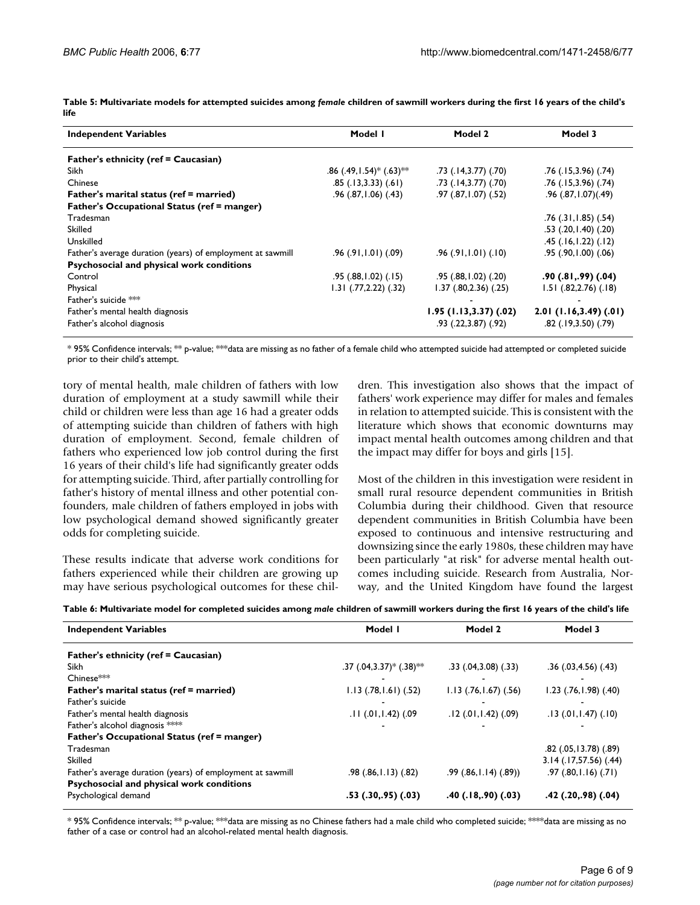| <b>Independent Variables</b>                               | Model I                        | Model 2                        | Model 3                         |
|------------------------------------------------------------|--------------------------------|--------------------------------|---------------------------------|
| <b>Father's ethnicity (ref = Caucasian)</b>                |                                |                                |                                 |
| <b>Sikh</b>                                                | $.86$ (.49, I $.54$ )* (.63)** | $.73$ $(.14,3.77)$ $(.70)$     | $.76$ ( $.15,3.96$ ) ( $.74$ )  |
| Chinese                                                    | $.85$ $(.13,3.33)$ $(.61)$     | $.73$ ( $.14,3.77$ ) ( $.70$ ) | $.76$ ( $.15,3.96$ ) ( $.74$ )  |
| Father's marital status (ref = married)                    | $.96$ $(.87, 1.06)$ $(.43)$    | $.97(.87, 1.07)$ (.52)         | $.96$ $(.87,1.07)(.49)$         |
| Father's Occupational Status (ref = manger)                |                                |                                |                                 |
| Tradesman                                                  |                                |                                | $.76$ $(.31, 1.85)$ $(.54)$     |
| Skilled                                                    |                                |                                | $.53$ ( $.20, 1.40$ ) ( $.20$ ) |
| Unskilled                                                  |                                |                                | .45(.16,1.22)(.12)              |
| Father's average duration (years) of employment at sawmill | $.96$ $(.91, 1.01)$ $(.09)$    | $.96(.91, 1.01)$ (.10)         | $.95$ $(.90, 1.00)$ $(.06)$     |
| Psychosocial and physical work conditions                  |                                |                                |                                 |
| Control                                                    | $.95(.88, 1.02)$ (.15)         | $.95(.88, 1.02)$ (.20)         | .90(0.81,0.99)(0.04)            |
| Physical                                                   | $1.31$ $(.77,2.22)$ $(.32)$    | $1.37$ $(.80,2.36)$ $(.25)$    | $1.51$ (.82, 2.76) (.18)        |
| Father's suicide ***                                       |                                |                                |                                 |
| Father's mental health diagnosis                           |                                | 1.95(1.13,3.37)(.02)           | 2.01(1.16, 3.49)(.01)           |
| Father's alcohol diagnosis                                 |                                | $.93$ $(.22,3.87)$ $(.92)$     | $.82$ ( $.19,3.50$ ) ( $.79$ )  |

**Table 5: Multivariate models for attempted suicides among** *female* **children of sawmill workers during the first 16 years of the child's life**

\* 95% Confidence intervals; \*\* p-value; \*\*\*data are missing as no father of a female child who attempted suicide had attempted or completed suicide prior to their child's attempt.

tory of mental health, male children of fathers with low duration of employment at a study sawmill while their child or children were less than age 16 had a greater odds of attempting suicide than children of fathers with high duration of employment. Second, female children of fathers who experienced low job control during the first 16 years of their child's life had significantly greater odds for attempting suicide. Third, after partially controlling for father's history of mental illness and other potential confounders, male children of fathers employed in jobs with low psychological demand showed significantly greater odds for completing suicide.

These results indicate that adverse work conditions for fathers experienced while their children are growing up may have serious psychological outcomes for these children. This investigation also shows that the impact of fathers' work experience may differ for males and females in relation to attempted suicide. This is consistent with the literature which shows that economic downturns may impact mental health outcomes among children and that the impact may differ for boys and girls [15].

Most of the children in this investigation were resident in small rural resource dependent communities in British Columbia during their childhood. Given that resource dependent communities in British Columbia have been exposed to continuous and intensive restructuring and downsizing since the early 1980s, these children may have been particularly "at risk" for adverse mental health outcomes including suicide. Research from Australia, Norway, and the United Kingdom have found the largest

| Table 6: Multivariate model for completed suicides among male children of sawmill workers during the first 16 years of the child's life |  |  |  |  |  |
|-----------------------------------------------------------------------------------------------------------------------------------------|--|--|--|--|--|
|-----------------------------------------------------------------------------------------------------------------------------------------|--|--|--|--|--|

| <b>Independent Variables</b>                               | Model I                     | Model 2                     | Model 3                      |
|------------------------------------------------------------|-----------------------------|-----------------------------|------------------------------|
|                                                            |                             |                             |                              |
| Father's ethnicity (ref = Caucasian)                       |                             |                             |                              |
| Sikh                                                       | $.37(.04,3.37)^*(.38)^{**}$ | $.33$ $(.04,3.08)$ $(.33)$  | $.36$ $(.03,4.56)$ $(.43)$   |
| Chinese***                                                 |                             |                             |                              |
| Father's marital status (ref = married)                    | $1.13$ (.78,1.61) (.52)     | $1.13$ (.76, 1.67) (.56)    | $1.23$ (.76, 1.98) (.40)     |
| Father's suicide                                           |                             |                             |                              |
| Father's mental health diagnosis                           | $.11$ $(.01,1.42)$ $(.09$   | $.12$ $(.01, 1.42)$ $(.09)$ | $.13$ $(.01, 1.47)$ $(.10)$  |
| Father's alcohol diagnosis ****                            |                             |                             |                              |
| Father's Occupational Status (ref = manger)                |                             |                             |                              |
| Tradesman                                                  |                             |                             | $.82$ $(.05, 13.78)$ $(.89)$ |
| Skilled                                                    |                             |                             | 3.14 (.17,57.56) (.44)       |
| Father's average duration (years) of employment at sawmill | $.98(.86, 1.13)$ $(.82)$    | $.99$ $(.86, 1.14)$ $(.89)$ | $.97(.80, 1.16)$ (.71)       |
| Psychosocial and physical work conditions                  |                             |                             |                              |
| Psychological demand                                       | $.53$ $(.30, .95)$ $(.03)$  | $.40$ $(.18, .90)$ $(.03)$  | $.42$ $(.20, .98)$ $(.04)$   |

\* 95% Confidence intervals; \*\* p-value; \*\*\*data are missing as no Chinese fathers had a male child who completed suicide; \*\*\*\*data are missing as no father of a case or control had an alcohol-related mental health diagnosis.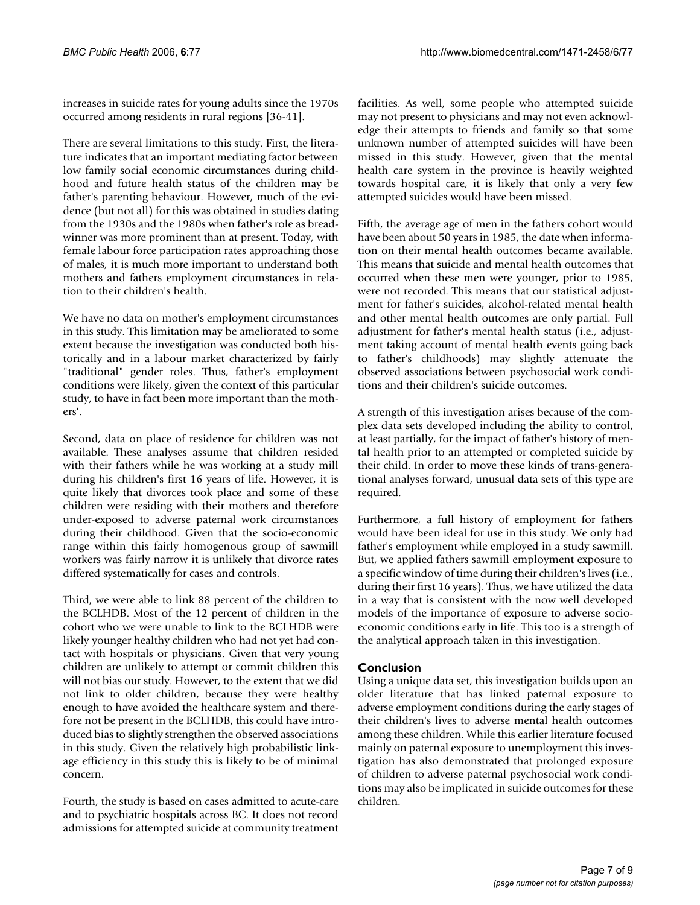increases in suicide rates for young adults since the 1970s occurred among residents in rural regions [36-41].

There are several limitations to this study. First, the literature indicates that an important mediating factor between low family social economic circumstances during childhood and future health status of the children may be father's parenting behaviour. However, much of the evidence (but not all) for this was obtained in studies dating from the 1930s and the 1980s when father's role as breadwinner was more prominent than at present. Today, with female labour force participation rates approaching those of males, it is much more important to understand both mothers and fathers employment circumstances in relation to their children's health.

We have no data on mother's employment circumstances in this study. This limitation may be ameliorated to some extent because the investigation was conducted both historically and in a labour market characterized by fairly "traditional" gender roles. Thus, father's employment conditions were likely, given the context of this particular study, to have in fact been more important than the mothers'.

Second, data on place of residence for children was not available. These analyses assume that children resided with their fathers while he was working at a study mill during his children's first 16 years of life. However, it is quite likely that divorces took place and some of these children were residing with their mothers and therefore under-exposed to adverse paternal work circumstances during their childhood. Given that the socio-economic range within this fairly homogenous group of sawmill workers was fairly narrow it is unlikely that divorce rates differed systematically for cases and controls.

Third, we were able to link 88 percent of the children to the BCLHDB. Most of the 12 percent of children in the cohort who we were unable to link to the BCLHDB were likely younger healthy children who had not yet had contact with hospitals or physicians. Given that very young children are unlikely to attempt or commit children this will not bias our study. However, to the extent that we did not link to older children, because they were healthy enough to have avoided the healthcare system and therefore not be present in the BCLHDB, this could have introduced bias to slightly strengthen the observed associations in this study. Given the relatively high probabilistic linkage efficiency in this study this is likely to be of minimal concern.

Fourth, the study is based on cases admitted to acute-care and to psychiatric hospitals across BC. It does not record admissions for attempted suicide at community treatment facilities. As well, some people who attempted suicide may not present to physicians and may not even acknowledge their attempts to friends and family so that some unknown number of attempted suicides will have been missed in this study. However, given that the mental health care system in the province is heavily weighted towards hospital care, it is likely that only a very few attempted suicides would have been missed.

Fifth, the average age of men in the fathers cohort would have been about 50 years in 1985, the date when information on their mental health outcomes became available. This means that suicide and mental health outcomes that occurred when these men were younger, prior to 1985, were not recorded. This means that our statistical adjustment for father's suicides, alcohol-related mental health and other mental health outcomes are only partial. Full adjustment for father's mental health status (i.e., adjustment taking account of mental health events going back to father's childhoods) may slightly attenuate the observed associations between psychosocial work conditions and their children's suicide outcomes.

A strength of this investigation arises because of the complex data sets developed including the ability to control, at least partially, for the impact of father's history of mental health prior to an attempted or completed suicide by their child. In order to move these kinds of trans-generational analyses forward, unusual data sets of this type are required.

Furthermore, a full history of employment for fathers would have been ideal for use in this study. We only had father's employment while employed in a study sawmill. But, we applied fathers sawmill employment exposure to a specific window of time during their children's lives (i.e., during their first 16 years). Thus, we have utilized the data in a way that is consistent with the now well developed models of the importance of exposure to adverse socioeconomic conditions early in life. This too is a strength of the analytical approach taken in this investigation.

## **Conclusion**

Using a unique data set, this investigation builds upon an older literature that has linked paternal exposure to adverse employment conditions during the early stages of their children's lives to adverse mental health outcomes among these children. While this earlier literature focused mainly on paternal exposure to unemployment this investigation has also demonstrated that prolonged exposure of children to adverse paternal psychosocial work conditions may also be implicated in suicide outcomes for these children.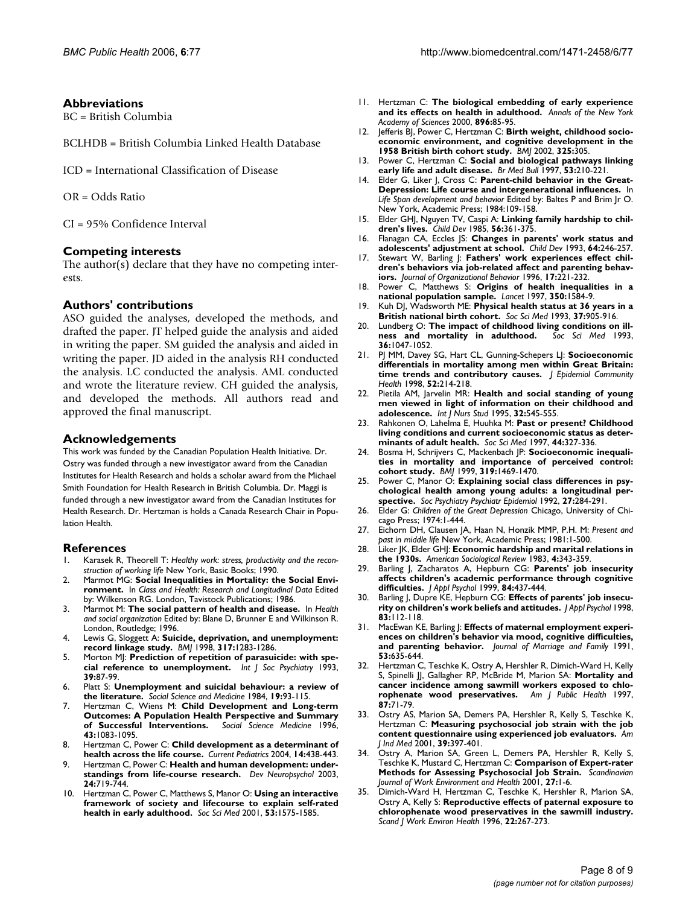#### **Abbreviations**

BC = British Columbia

BCLHDB = British Columbia Linked Health Database

ICD = International Classification of Disease

OR = Odds Ratio

CI = 95% Confidence Interval

#### **Competing interests**

The author(s) declare that they have no competing interests.

#### **Authors' contributions**

ASO guided the analyses, developed the methods, and drafted the paper. JT helped guide the analysis and aided in writing the paper. SM guided the analysis and aided in writing the paper. JD aided in the analysis RH conducted the analysis. LC conducted the analysis. AML conducted and wrote the literature review. CH guided the analysis, and developed the methods. All authors read and approved the final manuscript.

#### **Acknowledgements**

This work was funded by the Canadian Population Health Initiative. Dr. Ostry was funded through a new investigator award from the Canadian Institutes for Health Research and holds a scholar award from the Michael Smith Foundation for Health Research in British Columbia. Dr. Maggi is funded through a new investigator award from the Canadian Institutes for Health Research. Dr. Hertzman is holds a Canada Research Chair in Population Health.

#### **References**

- 1. Karasek R, Theorell T: *Healthy work: stress, productivity and the reconstruction of working life* New York, Basic Books; 1990.
- 2. Marmot MG: **Social Inequalities in Mortality: the Social Environment.** In *Class and Health: Research and Longitudinal Data* Edited by: Wilkenson RG. London, Tavistock Publications; 1986.
- 3. Marmot M: **The social pattern of health and disease.** In *Health and social organization* Edited by: Blane D, Brunner E and Wilkinson R. London, Routledge; 1996.
- 4. Lewis G, Sloggett A: **[Suicide, deprivation, and unemployment:](http://www.ncbi.nlm.nih.gov/entrez/query.fcgi?cmd=Retrieve&db=PubMed&dopt=Abstract&list_uids=9804714) [record linkage study.](http://www.ncbi.nlm.nih.gov/entrez/query.fcgi?cmd=Retrieve&db=PubMed&dopt=Abstract&list_uids=9804714)** *BMJ* 1998, **317:**1283-1286.
- 5. Morton MJ: **[Prediction of repetition of parasuicide: with spe](http://www.ncbi.nlm.nih.gov/entrez/query.fcgi?cmd=Retrieve&db=PubMed&dopt=Abstract&list_uids=8340216)[cial reference to unemployment.](http://www.ncbi.nlm.nih.gov/entrez/query.fcgi?cmd=Retrieve&db=PubMed&dopt=Abstract&list_uids=8340216)** *Int J Soc Psychiatry* 1993, **39:**87-99.
- 6. Platt S: **Unemployment and suicidal behaviour: a review of the literature.** *Social Science and Medicine* 1984, **19:**93-115.
- 7. Hertzman C, Wiens M: **[Child Development and Long-term](http://www.ncbi.nlm.nih.gov/entrez/query.fcgi?cmd=Retrieve&db=PubMed&dopt=Abstract&list_uids=8890409) [Outcomes: A Population Health Perspective and Summary](http://www.ncbi.nlm.nih.gov/entrez/query.fcgi?cmd=Retrieve&db=PubMed&dopt=Abstract&list_uids=8890409) [of Successful Interventions.](http://www.ncbi.nlm.nih.gov/entrez/query.fcgi?cmd=Retrieve&db=PubMed&dopt=Abstract&list_uids=8890409)** *Social Science Medicine* 1996, **43:**1083-1095.
- 8. Hertzman C, Power C: **Child development as a determinant of health across the life course.** *Current Pediatrics* 2004, **14:**438-443.
- Hertzman C, Power C: [Health and human development: under](http://www.ncbi.nlm.nih.gov/entrez/query.fcgi?cmd=Retrieve&db=PubMed&dopt=Abstract&list_uids=14561568)**[standings from life-course research.](http://www.ncbi.nlm.nih.gov/entrez/query.fcgi?cmd=Retrieve&db=PubMed&dopt=Abstract&list_uids=14561568)** *Dev Neuropsychol* 2003, **24:**719-744.
- 10. Hertzman C, Power C, Matthews S, Manor O: **[Using an interactive](http://www.ncbi.nlm.nih.gov/entrez/query.fcgi?cmd=Retrieve&db=PubMed&dopt=Abstract&list_uids=11762884) [framework of society and lifecourse to explain self-rated](http://www.ncbi.nlm.nih.gov/entrez/query.fcgi?cmd=Retrieve&db=PubMed&dopt=Abstract&list_uids=11762884) [health in early adulthood.](http://www.ncbi.nlm.nih.gov/entrez/query.fcgi?cmd=Retrieve&db=PubMed&dopt=Abstract&list_uids=11762884)** *Soc Sci Med* 2001, **53:**1575-1585.
- 11. Hertzman C: **The biological embedding of early experience and its effects on health in adulthood.** *Annals of the New York Academy of Sciences* 2000, **896:**85-95.
- 12. Jefferis BJ, Power C, Hertzman C: **[Birth weight, childhood socio](http://www.ncbi.nlm.nih.gov/entrez/query.fcgi?cmd=Retrieve&db=PubMed&dopt=Abstract&list_uids=12169505)[economic environment, and cognitive development in the](http://www.ncbi.nlm.nih.gov/entrez/query.fcgi?cmd=Retrieve&db=PubMed&dopt=Abstract&list_uids=12169505) [1958 British birth cohort study.](http://www.ncbi.nlm.nih.gov/entrez/query.fcgi?cmd=Retrieve&db=PubMed&dopt=Abstract&list_uids=12169505)** *BMJ* 2002, **325:**305.
- 13. Power C, Hertzman C: **[Social and biological pathways linking](http://www.ncbi.nlm.nih.gov/entrez/query.fcgi?cmd=Retrieve&db=PubMed&dopt=Abstract&list_uids=9158295) [early life and adult disease.](http://www.ncbi.nlm.nih.gov/entrez/query.fcgi?cmd=Retrieve&db=PubMed&dopt=Abstract&list_uids=9158295)** *Br Med Bull* 1997, **53:**210-221.
- 14. Elder G, Liker J, Cross C: **Parent-child behavior in the Great-Depression: Life course and intergenerational influences.** In *Life Span development and behavior* Edited by: Baltes P and Brim Jr O. New York, Academic Press; 1984:109-158.
- 15. Elder GHJ, Nguyen TV, Caspi A: **[Linking family hardship to chil](http://www.ncbi.nlm.nih.gov/entrez/query.fcgi?cmd=Retrieve&db=PubMed&dopt=Abstract&list_uids=3987413)[dren's lives.](http://www.ncbi.nlm.nih.gov/entrez/query.fcgi?cmd=Retrieve&db=PubMed&dopt=Abstract&list_uids=3987413)** *Child Dev* 1985, **56:**361-375.
- 16. Flanagan CA, Eccles JS: **[Changes in parents' work status and](http://www.ncbi.nlm.nih.gov/entrez/query.fcgi?cmd=Retrieve&db=PubMed&dopt=Abstract&list_uids=8436032) [adolescents' adjustment at school.](http://www.ncbi.nlm.nih.gov/entrez/query.fcgi?cmd=Retrieve&db=PubMed&dopt=Abstract&list_uids=8436032)** *Child Dev* 1993, **64:**246-257.
- 17. Stewart W, Barling J: **Fathers' work experiences effect children's behaviors via job-related affect and parenting behaviors.** *Journal of Organizational Behavior* 1996, **17:**221-232.
- 18. Power C, Matthews S: **[Origins of health inequalities in a](http://www.ncbi.nlm.nih.gov/entrez/query.fcgi?cmd=Retrieve&db=PubMed&dopt=Abstract&list_uids=9393337) [national population sample.](http://www.ncbi.nlm.nih.gov/entrez/query.fcgi?cmd=Retrieve&db=PubMed&dopt=Abstract&list_uids=9393337)** *Lancet* 1997, **350:**1584-9.
- 19. Kuh DJ, Wadsworth ME: **[Physical health status at 36 years in a](http://www.ncbi.nlm.nih.gov/entrez/query.fcgi?cmd=Retrieve&db=PubMed&dopt=Abstract&list_uids=8211309) [British national birth cohort.](http://www.ncbi.nlm.nih.gov/entrez/query.fcgi?cmd=Retrieve&db=PubMed&dopt=Abstract&list_uids=8211309)** *Soc Sci Med* 1993, **37:**905-916.
- 20. Lundberg O: **[The impact of childhood living conditions on ill](http://www.ncbi.nlm.nih.gov/entrez/query.fcgi?cmd=Retrieve&db=PubMed&dopt=Abstract&list_uids=8475420)[ness and mortality in adulthood.](http://www.ncbi.nlm.nih.gov/entrez/query.fcgi?cmd=Retrieve&db=PubMed&dopt=Abstract&list_uids=8475420)** *Soc Sci Med* 1993, **36:**1047-1052.
- 21. PJ MM, Davey SG, Hart CL, Gunning-Schepers LJ: **[Socioeconomic](http://www.ncbi.nlm.nih.gov/entrez/query.fcgi?cmd=Retrieve&db=PubMed&dopt=Abstract&list_uids=9616406) [differentials in mortality among men within Great Britain:](http://www.ncbi.nlm.nih.gov/entrez/query.fcgi?cmd=Retrieve&db=PubMed&dopt=Abstract&list_uids=9616406) [time trends and contributory causes.](http://www.ncbi.nlm.nih.gov/entrez/query.fcgi?cmd=Retrieve&db=PubMed&dopt=Abstract&list_uids=9616406)** *J Epidemiol Community Health* 1998, **52:**214-218.
- 22. Pietila AM, Jarvelin MR: **[Health and social standing of young](http://www.ncbi.nlm.nih.gov/entrez/query.fcgi?cmd=Retrieve&db=PubMed&dopt=Abstract&list_uids=8926156) [men viewed in light of information on their childhood and](http://www.ncbi.nlm.nih.gov/entrez/query.fcgi?cmd=Retrieve&db=PubMed&dopt=Abstract&list_uids=8926156) [adolescence.](http://www.ncbi.nlm.nih.gov/entrez/query.fcgi?cmd=Retrieve&db=PubMed&dopt=Abstract&list_uids=8926156)** *Int J Nurs Stud* 1995, **32:**545-555.
- 23. Rahkonen O, Lahelma E, Huuhka M: **[Past or present? Childhood](http://www.ncbi.nlm.nih.gov/entrez/query.fcgi?cmd=Retrieve&db=PubMed&dopt=Abstract&list_uids=9004368) [living conditions and current socioeconomic status as deter](http://www.ncbi.nlm.nih.gov/entrez/query.fcgi?cmd=Retrieve&db=PubMed&dopt=Abstract&list_uids=9004368)[minants of adult health.](http://www.ncbi.nlm.nih.gov/entrez/query.fcgi?cmd=Retrieve&db=PubMed&dopt=Abstract&list_uids=9004368)** *Soc Sci Med* 1997, **44:**327-336.
- Bosma H, Schrijvers C, Mackenbach JP: [Socioeconomic inequali](http://www.ncbi.nlm.nih.gov/entrez/query.fcgi?cmd=Retrieve&db=PubMed&dopt=Abstract&list_uids=10582929)**[ties in mortality and importance of perceived control:](http://www.ncbi.nlm.nih.gov/entrez/query.fcgi?cmd=Retrieve&db=PubMed&dopt=Abstract&list_uids=10582929) [cohort study.](http://www.ncbi.nlm.nih.gov/entrez/query.fcgi?cmd=Retrieve&db=PubMed&dopt=Abstract&list_uids=10582929)** *BMJ* 1999, **319:**1469-1470.
- 25. Power C, Manor O: **[Explaining social class differences in psy](http://www.ncbi.nlm.nih.gov/entrez/query.fcgi?cmd=Retrieve&db=PubMed&dopt=Abstract&list_uids=1492248)[chological health among young adults: a longitudinal per](http://www.ncbi.nlm.nih.gov/entrez/query.fcgi?cmd=Retrieve&db=PubMed&dopt=Abstract&list_uids=1492248)[spective.](http://www.ncbi.nlm.nih.gov/entrez/query.fcgi?cmd=Retrieve&db=PubMed&dopt=Abstract&list_uids=1492248)** *Soc Psychiatry Psychiatr Epidemiol* 1992, **27:**284-291.
- 26. Elder G: *Children of the Great Depression* Chicago, University of Chicago Press; 1974:1-444.
- 27. Eichorn DH, Clausen JA, Haan N, Honzik MMP, P.H. M: *Present and past in middle life* New York, Academic Press; 1981:1-500.
- 28. Liker JK, Elder GHJ: **Economic hardship and marital relations in the 1930s.** *American Sociological Review* 1983, **4:**343-359.
- 29. Barling J, Zacharatos A, Hepburn CG: **[Parents' job insecurity](http://www.ncbi.nlm.nih.gov/entrez/query.fcgi?cmd=Retrieve&db=PubMed&dopt=Abstract&list_uids=10380423) [affects children's academic performance through cognitive](http://www.ncbi.nlm.nih.gov/entrez/query.fcgi?cmd=Retrieve&db=PubMed&dopt=Abstract&list_uids=10380423) [difficulties.](http://www.ncbi.nlm.nih.gov/entrez/query.fcgi?cmd=Retrieve&db=PubMed&dopt=Abstract&list_uids=10380423)** *J Appl Psychol* 1999, **84:**437-444.
- 30. Barling J, Dupre KE, Hepburn CG: **[Effects of parents' job insecu](http://www.ncbi.nlm.nih.gov/entrez/query.fcgi?cmd=Retrieve&db=PubMed&dopt=Abstract&list_uids=9494443)[rity on children's work beliefs and attitudes.](http://www.ncbi.nlm.nih.gov/entrez/query.fcgi?cmd=Retrieve&db=PubMed&dopt=Abstract&list_uids=9494443)** *J Appl Psychol* 1998, **83:**112-118.
- 31. MacEwan KE, Barling J: **Effects of maternal employment experiences on children's behavior via mood, cognitive difficulties, and parenting behavior.** *Journal of Marriage and Family* 1991, **53:**635-644.
- 32. Hertzman C, Teschke K, Ostry A, Hershler R, Dimich-Ward H, Kelly S, Spinelli JJ, Gallagher RP, McBride M, Marion SA: **[Mortality and](http://www.ncbi.nlm.nih.gov/entrez/query.fcgi?cmd=Retrieve&db=PubMed&dopt=Abstract&list_uids=9065230) [cancer incidence among sawmill workers exposed to chlo](http://www.ncbi.nlm.nih.gov/entrez/query.fcgi?cmd=Retrieve&db=PubMed&dopt=Abstract&list_uids=9065230)[rophenate wood preservatives.](http://www.ncbi.nlm.nih.gov/entrez/query.fcgi?cmd=Retrieve&db=PubMed&dopt=Abstract&list_uids=9065230)** *Am J Public Health* 1997, **87:**71-79.
- 33. Ostry AS, Marion SA, Demers PA, Hershler R, Kelly S, Teschke K, Hertzman C: **[Measuring psychosocial job strain with the job](http://www.ncbi.nlm.nih.gov/entrez/query.fcgi?cmd=Retrieve&db=PubMed&dopt=Abstract&list_uids=11323789) [content questionnaire using experienced job evaluators.](http://www.ncbi.nlm.nih.gov/entrez/query.fcgi?cmd=Retrieve&db=PubMed&dopt=Abstract&list_uids=11323789)** *Am J Ind Med* 2001, **39:**397-401.
- 34. Ostry A, Marion SA, Green L, Demers PA, Hershler R, Kelly S, Teschke K, Mustard C, Hertzman C: **Comparison of Expert-rater Methods for Assessing Psychosocial Job Strain.** *Scandinavian Journal of Work Environment and Health* 2001, **27:**1-6.
- 35. Dimich-Ward H, Hertzman C, Teschke K, Hershler R, Marion SA, Ostry A, Kelly S: **[Reproductive effects of paternal exposure to](http://www.ncbi.nlm.nih.gov/entrez/query.fcgi?cmd=Retrieve&db=PubMed&dopt=Abstract&list_uids=8881015) [chlorophenate wood preservatives in the sawmill industry.](http://www.ncbi.nlm.nih.gov/entrez/query.fcgi?cmd=Retrieve&db=PubMed&dopt=Abstract&list_uids=8881015)** *Scand J Work Environ Health* 1996, **22:**267-273.